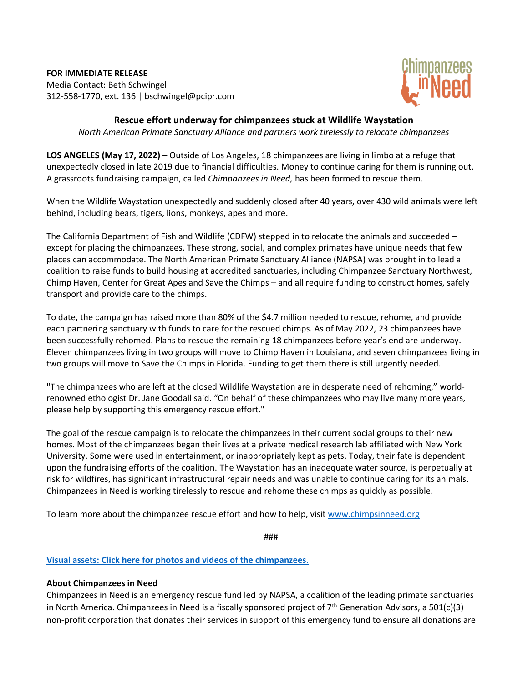**FOR IMMEDIATE RELEASE** Media Contact: Beth Schwingel 312-558-1770, ext. 136 | bschwingel@pcipr.com



## **Rescue effort underway for chimpanzees stuck at Wildlife Waystation** *North American Primate Sanctuary Alliance and partners work tirelessly to relocate chimpanzees*

**LOS ANGELES (May 17, 2022)** – Outside of Los Angeles, 18 chimpanzees are living in limbo at a refuge that unexpectedly closed in late 2019 due to financial difficulties. Money to continue caring for them is running out. A grassroots fundraising campaign, called *Chimpanzees in Need,* has been formed to rescue them.

When the Wildlife Waystation unexpectedly and suddenly closed after 40 years, over 430 wild animals were left behind, including bears, tigers, lions, monkeys, apes and more.

The California Department of Fish and Wildlife (CDFW) stepped in to relocate the animals and succeeded – except for placing the chimpanzees. These strong, social, and complex primates have unique needs that few places can accommodate. The North American Primate Sanctuary Alliance (NAPSA) was brought in to lead a coalition to raise funds to build housing at accredited sanctuaries, including Chimpanzee Sanctuary Northwest, Chimp Haven, Center for Great Apes and Save the Chimps – and all require funding to construct homes, safely transport and provide care to the chimps.

To date, the campaign has raised more than 80% of the \$4.7 million needed to rescue, rehome, and provide each partnering sanctuary with funds to care for the rescued chimps. As of May 2022, 23 chimpanzees have been successfully rehomed. Plans to rescue the remaining 18 chimpanzees before year's end are underway. Eleven chimpanzees living in two groups will move to Chimp Haven in Louisiana, and seven chimpanzees living in two groups will move to Save the Chimps in Florida. Funding to get them there is still urgently needed.

"The chimpanzees who are left at the closed Wildlife Waystation are in desperate need of rehoming," worldrenowned ethologist Dr. Jane Goodall said. "On behalf of these chimpanzees who may live many more years, please help by supporting this emergency rescue effort."

The goal of the rescue campaign is to relocate the chimpanzees in their current social groups to their new homes. Most of the chimpanzees began their lives at a private medical research lab affiliated with New York University. Some were used in entertainment, or inappropriately kept as pets. Today, their fate is dependent upon the fundraising efforts of the coalition. The Waystation has an inadequate water source, is perpetually at risk for wildfires, has significant infrastructural repair needs and was unable to continue caring for its animals. Chimpanzees in Need is working tirelessly to rescue and rehome these chimps as quickly as possible.

To learn more about the chimpanzee rescue effort and how to help, visit [www.chimpsinneed.org](http://www.chimpsinneed.org/)

###

## **[Visual assets: Click here for photos and videos of the chimpanzees.](https://www.dropbox.com/sh/ygtq499uv71295y/AACFckNsHiOizvM06lLSPCj7a?dl=0)**

## **About Chimpanzees in Need**

Chimpanzees in Need is an emergency rescue fund led by NAPSA, a coalition of the leading primate sanctuaries in North America. Chimpanzees in Need is a fiscally sponsored project of  $7<sup>th</sup>$  Generation Advisors, a 501(c)(3) non-profit corporation that donates their services in support of this emergency fund to ensure all donations are